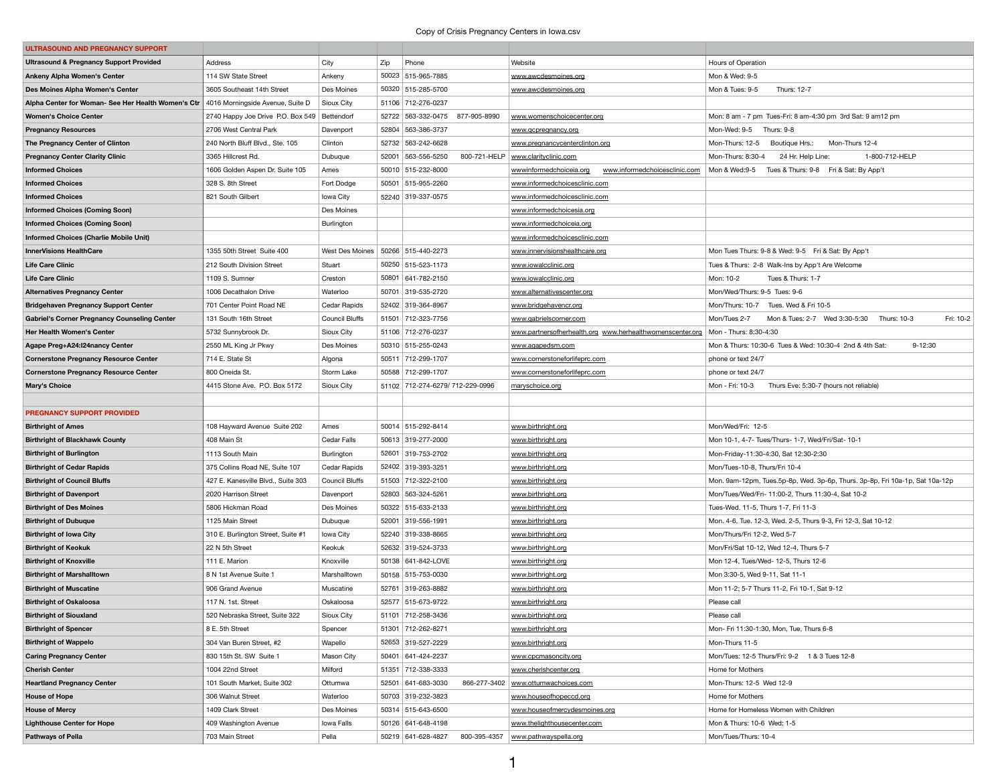| <b>ULTRASOUND AND PREGNANCY SUPPORT</b>                      |                                    |                       |                                        |                                                           |                                                                              |
|--------------------------------------------------------------|------------------------------------|-----------------------|----------------------------------------|-----------------------------------------------------------|------------------------------------------------------------------------------|
| <b>Ultrasound &amp; Pregnancy Support Provided</b>           | Address                            | City                  | Phone<br>Zip                           | Website                                                   | Hours of Operation                                                           |
| <b>Ankeny Alpha Women's Center</b>                           | 114 SW State Street                | Ankeny                | 50023 515-965-7885                     | www.awcdesmoines.org                                      | Mon & Wed: 9-5                                                               |
| Des Moines Alpha Women's Center                              | 3605 Southeast 14th Street         | Des Moines            | 50320 515-285-5700                     | www.awcdesmoines.org                                      | Thurs: 12-7<br>Mon & Tues: 9-5                                               |
| Alpha Center for Woman- See Her Health Women's Ctr           | 4016 Morningside Avenue, Suite D   | Sioux City            | 51106 712-276-0237                     |                                                           |                                                                              |
| <b>Women's Choice Center</b>                                 | 2740 Happy Joe Drive P.O. Box 549  | Bettendorf            | 52722 563-332-0475 877-905-8990        | www.womenschoicecenter.org                                | Mon: 8 am - 7 pm Tues-Fri: 8 am-4:30 pm 3rd Sat: 9 am12 pm                   |
| <b>Pregnancy Resources</b>                                   | 2706 West Central Park             | Davenport             | 52804 563-386-3737                     | www.qcpregnancy.org                                       | Mon-Wed: 9-5<br><b>Thurs: 9-8</b>                                            |
| The Pregnancy Center of Clinton                              | 240 North Bluff Blvd., Ste. 105    | Clinton               | 52732 563-242-6628                     | www.pregnancycenterclinton.org                            | Mon-Thurs: 12-5<br>Mon-Thurs 12-4<br>Boutique Hrs.:                          |
| <b>Pregnancy Center Clarity Clinic</b>                       | 3365 Hillcrest Rd.                 | Dubuque               | 52001 563-556-5250<br>800-721-HELP     | www.clarityclinic.com                                     | 1-800-712-HELP<br>Mon-Thurs: 8:30-4<br>24 Hr. Help Line:                     |
| <b>Informed Choices</b>                                      | 1606 Golden Aspen Dr. Suite 105    | Ames                  | 50010 515-232-8000                     | wwwinformedchoiceia.org<br>www.informedchoicesclinic.com  | Mon & Wed:9-5<br>Tues & Thurs: 9-8 Fri & Sat: By App't                       |
| <b>Informed Choices</b>                                      | 328 S. 8th Street                  | Fort Dodge            | 50501 515-955-2260                     | www.informedchoicesclinic.com                             |                                                                              |
| <b>Informed Choices</b>                                      | 821 South Gilbert                  | Iowa City             | 52240 319-337-0575                     | www.informedchoicesclinic.com                             |                                                                              |
| <b>Informed Choices (Coming Soon)</b>                        |                                    | Des Moines            |                                        | www.informedchoicesia.org                                 |                                                                              |
| <b>Informed Choices (Coming Soon)</b>                        |                                    | Burlington            |                                        | www.informedchoiceia.org                                  |                                                                              |
| <b>Informed Choices (Charlie Mobile Unit)</b>                |                                    |                       |                                        | www.informedchoicesclinic.com                             |                                                                              |
| <b>InnerVisions HealthCare</b>                               | 1355 50th Street Suite 400         |                       | West Des Moines   50266   515-440-2273 | www.innervisionshealthcare.org                            | Mon Tues Thurs: 9-8 & Wed: 9-5 Fri & Sat: By App't                           |
| <b>Life Care Clinic</b>                                      | 212 South Division Street          | Stuart                | 50250 515-523-1173                     | www.iowalcclinic.org                                      | Tues & Thurs: 2-8 Walk-Ins by App't Are Welcome                              |
| <b>Life Care Clinic</b>                                      | 1109 S. Sumner                     | Creston               | 50801 641-782-2150                     | www.iowalcclinic.org                                      | Mon: 10-2<br>Tues & Thurs: 1-7                                               |
| <b>Alternatives Pregnancy Center</b>                         | 1006 Decathalon Drive              | Waterloo              | 50701 319-535-2720                     | www.alternativescenter.org                                | Mon/Wed/Thurs: 9-5 Tues: 9-6                                                 |
| <b>Bridgehaven Pregnancy Support Center</b>                  | 701 Center Point Road NE           | Cedar Rapids          | 52402 319-364-8967                     | www.bridgehavencr.org                                     | Mon/Thurs: 10-7<br>Tues. Wed & Fri 10-5                                      |
| <b>Gabriel's Corner Pregnancy Counseling Center</b>          | 131 South 16th Street              | <b>Council Bluffs</b> | 51501 712-323-7756                     | www.gabrielscorner.com                                    | Mon/Tues 2-7<br>Mon & Tues: 2-7 Wed 3:30-5:30<br>Fri: 10-2<br>Thurs: 10-3    |
| <b>Her Health Women's Center</b>                             | 5732 Sunnybrook Dr.                | Sioux City            | 51106 712-276-0237                     | www.partnersofherhealth.org www.herhealthwomenscenter.org | Mon - Thurs: 8:30-4:30                                                       |
| Agape Preg+A24:I24nancy Center                               | 2550 ML King Jr Pkwy               | Des Moines            | 50310 515-255-0243                     | www.agapedsm.com                                          | Mon & Thurs: 10:30-6 Tues & Wed: 10:30-4 2nd & 4th Sat:<br>9-12:30           |
| <b>Cornerstone Pregnancy Resource Center</b>                 | 714 E. State St                    | Algona                | 50511 712-299-1707                     | www.cornerstoneforlifeprc.com                             | phone or text 24/7                                                           |
| <b>Cornerstone Pregnancy Resource Center</b>                 | 800 Oneida St.                     | Storm Lake            | 50588 712-299-1707                     | www.cornerstoneforlifeprc.com                             | phone or text 24/7                                                           |
| <b>Mary's Choice</b>                                         | 4415 Stone Ave. P.O. Box 5172      | Sioux City            | 51102 712-274-6279/ 712-229-0996       | maryschoice.org                                           | Mon - Fri: 10-3<br>Thurs Eve: 5:30-7 (hours not reliable)                    |
|                                                              |                                    |                       |                                        |                                                           |                                                                              |
| <b>PREGNANCY SUPPORT PROVIDED</b>                            |                                    |                       |                                        |                                                           |                                                                              |
| <b>Birthright of Ames</b>                                    | 108 Hayward Avenue Suite 202       | Ames                  | 50014 515-292-8414                     | www.birthright.org                                        | Mon/Wed/Fri: 12-5                                                            |
| <b>Birthright of Blackhawk County</b>                        | 408 Main St                        | Cedar Falls           | 50613 319-277-2000                     | www.birthright.org                                        | Mon 10-1, 4-7- Tues/Thurs- 1-7, Wed/Fri/Sat- 10-1                            |
| <b>Birthright of Burlington</b>                              | 1113 South Main                    | Burlington            | 52601 319-753-2702                     | www.birthright.org                                        | Mon-Friday-11:30-4:30, Sat 12:30-2:30                                        |
| <b>Birthright of Cedar Rapids</b>                            | 375 Collins Road NE, Suite 107     | Cedar Rapids          | 52402 319-393-3251                     | www.birthright.org                                        | Mon/Tues-10-8, Thurs/Fri 10-4                                                |
| <b>Birthright of Council Bluffs</b>                          | 427 E. Kanesville Blvd., Suite 303 | <b>Council Bluffs</b> | 51503 712-322-2100                     | www.birthright.org                                        | Mon. 9am-12pm, Tues.5p-8p, Wed. 3p-6p, Thurs. 3p-8p, Fri 10a-1p, Sat 10a-12p |
| <b>Birthright of Davenport</b>                               | 2020 Harrison Street               | Davenport             | 52803 563-324-5261                     | www.birthright.org                                        | Mon/Tues/Wed/Fri- 11:00-2, Thurs 11:30-4, Sat 10-2                           |
| <b>Birthright of Des Moines</b>                              | 5806 Hickman Road                  | Des Moines            | 50322 515-633-2133                     | www.birthright.org                                        | Tues-Wed. 11-5, Thurs 1-7, Fri 11-3                                          |
| <b>Birthright of Dubuque</b>                                 | 1125 Main Street                   | Dubuque               | 52001 319-556-1991                     | www.birthright.org                                        | Mon. 4-6, Tue. 12-3, Wed. 2-5, Thurs 9-3, Fri 12-3, Sat 10-12                |
| <b>Birthright of Iowa City</b>                               | 310 E. Burlington Street, Suite #1 | Iowa City             | 52240 319-338-8665                     | www.birthright.org                                        | Mon/Thurs/Fri 12-2, Wed 5-7                                                  |
| <b>Birthright of Keokuk</b>                                  | 22 N 5th Street                    | Keokuk                | 52632 319-524-3733                     | www.birthright.org                                        | Mon/Fri/Sat 10-12, Wed 12-4, Thurs 5-7                                       |
| <b>Birthright of Knoxville</b>                               | 111 E. Marion                      | Knoxville             | 50138 641-842-LOVE                     | www.birthright.org                                        | Mon 12-4, Tues/Wed- 12-5, Thurs 12-6                                         |
| <b>Birthright of Marshalltown</b>                            | 8 N 1st Avenue Suite 1             | Marshalltown          | 50158 515-753-0030                     | www.birthright.org                                        | Mon 3:30-5, Wed 9-11, Sat 11-1                                               |
| <b>Birthright of Muscatine</b>                               | 906 Grand Avenue                   | Muscatine             | 52761 319-263-8882                     | www.birthright.org                                        | Mon 11-2; 5-7 Thurs 11-2, Fri 10-1, Sat 9-12                                 |
| <b>Birthright of Oskaloosa</b>                               | 117 N. 1st. Street                 | Oskaloosa             | 52577 515-673-9722                     | www.birthright.org                                        | Please call                                                                  |
| <b>Birthright of Siouxland</b>                               | 520 Nebraska Street, Suite 322     | Sioux City            | 51101 712-258-3436                     | www.birthright.org                                        | Please call                                                                  |
|                                                              |                                    |                       |                                        |                                                           |                                                                              |
| <b>Birthright of Spencer</b><br><b>Birthright of Wappelo</b> | 8 E. 5th Street                    | Spencer               | 51301 712-262-8271                     | www.birthright.org                                        | Mon- Fri 11:30-1:30, Mon, Tue, Thurs 6-8                                     |
|                                                              | 304 Van Buren Street, #2           | Wapello               | 52653 319-527-2229                     | www.birthright.org                                        | Mon-Thurs 11-5                                                               |
| <b>Caring Pregnancy Center</b>                               | 830 15th St. SW Suite 1            | Mason City            | 50401 641-424-2237                     | www.cpcmasoncity.org                                      | Mon/Tues: 12-5 Thurs/Fri: 9-2 1 & 3 Tues 12-8                                |
| <b>Cherish Center</b>                                        | 1004 22nd Street                   | Milford               | 51351 712-338-3333                     | www.cherishcenter.org                                     | Home for Mothers                                                             |
| <b>Heartland Pregnancy Center</b>                            | 101 South Market, Suite 302        | Ottumwa               | 866-277-3402<br>52501 641-683-3030     | www.ottumwachoices.com                                    | Mon-Thurs: 12-5 Wed 12-9                                                     |
| <b>House of Hope</b>                                         | 306 Walnut Street                  | Waterloo              | 50703 319-232-3823                     | www.houseofhopeccd.org                                    | Home for Mothers                                                             |
| <b>House of Mercy</b>                                        | 1409 Clark Street                  | Des Moines            | 50314 515-643-6500                     | www.houseofmercydesmoines.org                             | Home for Homeless Women with Children                                        |
| <b>Lighthouse Center for Hope</b>                            | 409 Washington Avenue              | Iowa Falls            | 50126 641-648-4198                     | www.thelighthousecenter.com                               | Mon & Thurs: 10-6 Wed: 1-5                                                   |
| <b>Pathways of Pella</b>                                     | 703 Main Street                    | Pella                 | 50219 641-628-4827<br>800-395-4357     | www.pathwayspella.org                                     | Mon/Tues/Thurs: 10-4                                                         |

1